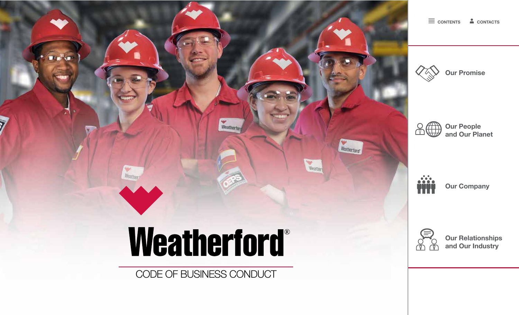

**CONTENTS CONTACTS**









**Our Relationships and Our Industry**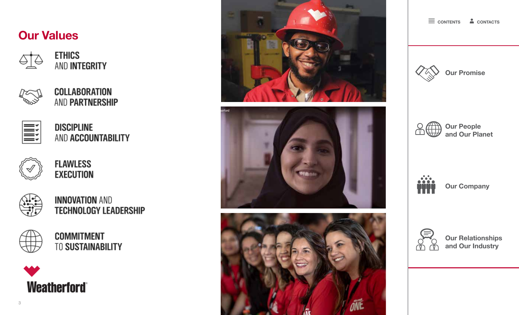# **Our Values**



**ETHICS** AND INTEGRITY

**COLLABORATION** AND PARTNERSHIP



**DISCIPLINE** AND ACCOUNTABILITY



**FLAWLESS EXECUTION** 



**INNOVATION AND TECHNOLOGY LEADERSHIP** 



**COMMITMENT TO SUSTAINABILITY** 









**CONTENTS CONTACTS**









**Our Relationships and Our Industry**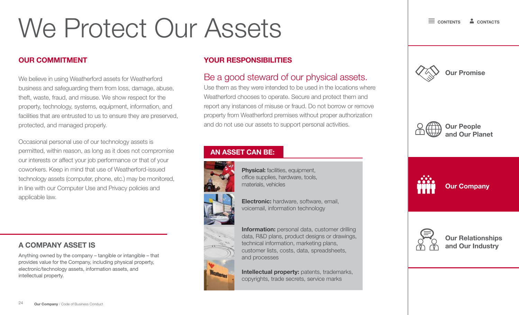# We Protect Our Assets

### **OUR COMMITMENT**

We believe in using Weatherford assets for Weatherford business and safeguarding them from loss, damage, abuse, theft, waste, fraud, and misuse. We show respect for the property, technology, systems, equipment, information, and facilities that are entrusted to us to ensure they are preserved, protected, and managed properly.

Occasional personal use of our technology assets is permitted, within reason, as long as it does not compromise our interests or affect your job performance or that of your coworkers. Keep in mind that use of Weatherford-issued technology assets (computer, phone, etc.) may be monitored, in line with our Computer Use and Privacy policies and applicable law.

## **A COMPANY ASSET IS**

Anything owned by the company – tangible or intangible – that provides value for the Company, including physical property, electronic/technology assets, information assets, and intellectual property.

## **YOUR RESPONSIBILITIES**

# Be a good steward of our physical assets.

Use them as they were intended to be used in the locations where Weatherford chooses to operate. Secure and protect them and report any instances of misuse or fraud. Do not borrow or remove property from Weatherford premises without proper authorization and do not use our assets to support personal activities.







### **AN ASSET CAN BE:**



**Physical:** facilities, equipment, office supplies, hardware, tools, materials, vehicles

**Electronic:** hardware, software, email, voicemail, information technology

**Information:** personal data, customer drilling data, R&D plans, product designs or drawings, technical information, marketing plans, customer lists, costs, data, spreadsheets, and processes

**Intellectual property:** patents, trademarks, copyrights, trade secrets, service marks



**Our Relationships and Our Industry**

**Our Company**